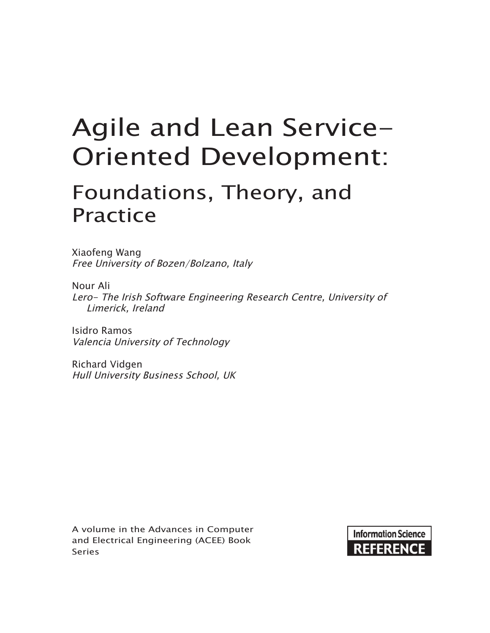# Agile and Lean Service-Oriented Development:

# Foundations, Theory, and Practice

Xiaofeng Wang Free University of Bozen/Bolzano, Italy

Nour Ali Lero- The Irish Software Engineering Research Centre, University of Limerick, Ireland

Isidro Ramos Valencia University of Technology

Richard Vidgen Hull University Business School, UK

A volume in the Advances in Computer and Electrical Engineering (ACEE) Book Series

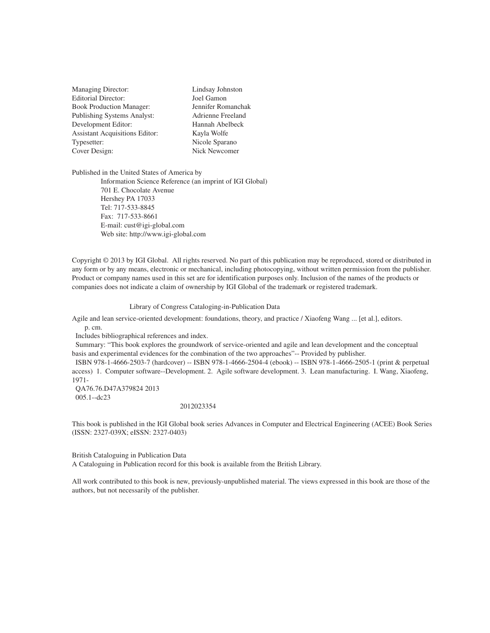| Managing Director:                 |
|------------------------------------|
| <b>Editorial Director:</b>         |
| <b>Book Production Manager:</b>    |
| <b>Publishing Systems Analyst:</b> |
| Development Editor:                |
| Assistant Acquisitions Editor:     |
| Typesetter:                        |
| Cover Design:                      |
|                                    |

Lindsay Johnston Joel Gamon Jennifer Romanchak Adrienne Freeland Hannah Abelbeck Kayla Wolfe Nicole Sparano Nick Newcomer

Published in the United States of America by Information Science Reference (an imprint of IGI Global) 701 E. Chocolate Avenue Hershey PA 17033 Tel: 717-533-8845 Fax: 717-533-8661 E-mail: cust@igi-global.com Web site: http://www.igi-global.com

Copyright © 2013 by IGI Global. All rights reserved. No part of this publication may be reproduced, stored or distributed in any form or by any means, electronic or mechanical, including photocopying, without written permission from the publisher. Product or company names used in this set are for identification purposes only. Inclusion of the names of the products or companies does not indicate a claim of ownership by IGI Global of the trademark or registered trademark.

#### Library of Congress Cataloging-in-Publication Data

Agile and lean service-oriented development: foundations, theory, and practice / Xiaofeng Wang ... [et al.], editors. p. cm.

Includes bibliographical references and index.

 Summary: "This book explores the groundwork of service-oriented and agile and lean development and the conceptual basis and experimental evidences for the combination of the two approaches"-- Provided by publisher.

 ISBN 978-1-4666-2503-7 (hardcover) -- ISBN 978-1-4666-2504-4 (ebook) -- ISBN 978-1-4666-2505-1 (print & perpetual access) 1. Computer software--Development. 2. Agile software development. 3. Lean manufacturing. I. Wang, Xiaofeng, 1971-

 QA76.76.D47A379824 2013 005.1--dc23

#### 2012023354

This book is published in the IGI Global book series Advances in Computer and Electrical Engineering (ACEE) Book Series (ISSN: 2327-039X; eISSN: 2327-0403)

British Cataloguing in Publication Data

A Cataloguing in Publication record for this book is available from the British Library.

All work contributed to this book is new, previously-unpublished material. The views expressed in this book are those of the authors, but not necessarily of the publisher.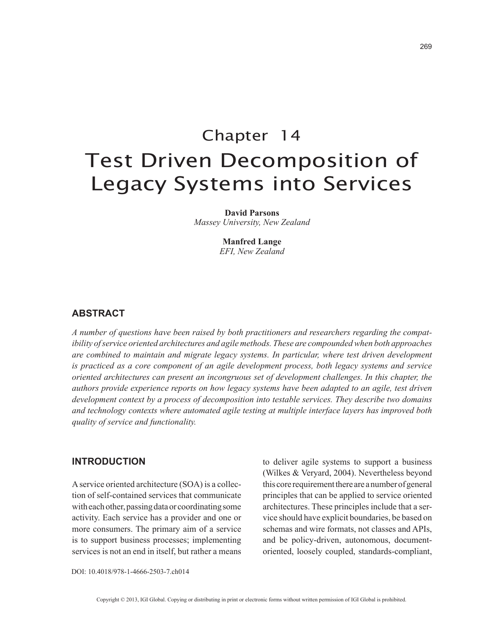## Chapter 14 Test Driven Decomposition of Legacy Systems into Services

**David Parsons** *Massey University, New Zealand*

> **Manfred Lange** *EFI, New Zealand*

#### **ABSTRACT**

*A number of questions have been raised by both practitioners and researchers regarding the compatibility of service oriented architectures and agile methods. These are compounded when both approaches are combined to maintain and migrate legacy systems. In particular, where test driven development is practiced as a core component of an agile development process, both legacy systems and service oriented architectures can present an incongruous set of development challenges. In this chapter, the authors provide experience reports on how legacy systems have been adapted to an agile, test driven development context by a process of decomposition into testable services. They describe two domains and technology contexts where automated agile testing at multiple interface layers has improved both quality of service and functionality.*

#### **INTRODUCTION**

A service oriented architecture (SOA) is a collection of self-contained services that communicate with each other, passing data or coordinating some activity. Each service has a provider and one or more consumers. The primary aim of a service is to support business processes; implementing services is not an end in itself, but rather a means

to deliver agile systems to support a business (Wilkes & Veryard, 2004). Nevertheless beyond this core requirement there are a number of general principles that can be applied to service oriented architectures. These principles include that a service should have explicit boundaries, be based on schemas and wire formats, not classes and APIs, and be policy-driven, autonomous, documentoriented, loosely coupled, standards-compliant,

DOI: 10.4018/978-1-4666-2503-7.ch014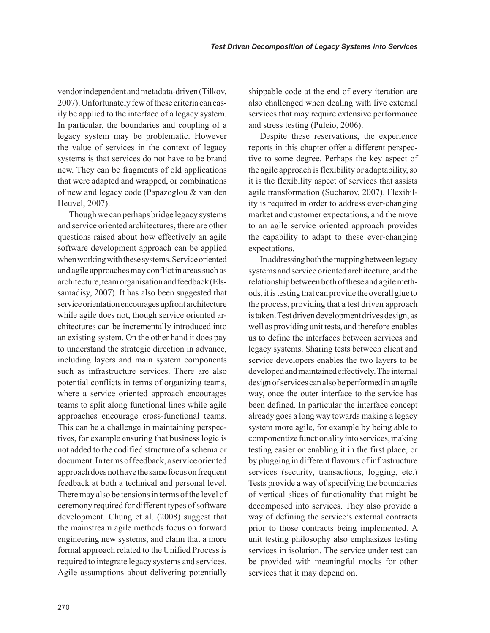vendor independent and metadata-driven (Tilkov, 2007). Unfortunately few of these criteria can easily be applied to the interface of a legacy system. In particular, the boundaries and coupling of a legacy system may be problematic. However the value of services in the context of legacy systems is that services do not have to be brand new. They can be fragments of old applications that were adapted and wrapped, or combinations of new and legacy code (Papazoglou & van den Heuvel, 2007).

Though we can perhaps bridge legacy systems and service oriented architectures, there are other questions raised about how effectively an agile software development approach can be applied when working with these systems. Service oriented and agile approaches may conflict in areas such as architecture, team organisation and feedback (Elssamadisy, 2007). It has also been suggested that service orientation encourages upfront architecture while agile does not, though service oriented architectures can be incrementally introduced into an existing system. On the other hand it does pay to understand the strategic direction in advance, including layers and main system components such as infrastructure services. There are also potential conflicts in terms of organizing teams, where a service oriented approach encourages teams to split along functional lines while agile approaches encourage cross-functional teams. This can be a challenge in maintaining perspectives, for example ensuring that business logic is not added to the codified structure of a schema or document. In terms of feedback, a service oriented approach does not have the same focus on frequent feedback at both a technical and personal level. There may also be tensions in terms of the level of ceremony required for different types of software development. Chung et al. (2008) suggest that the mainstream agile methods focus on forward engineering new systems, and claim that a more formal approach related to the Unified Process is required to integrate legacy systems and services. Agile assumptions about delivering potentially shippable code at the end of every iteration are also challenged when dealing with live external services that may require extensive performance and stress testing (Puleio, 2006).

Despite these reservations, the experience reports in this chapter offer a different perspective to some degree. Perhaps the key aspect of the agile approach is flexibility or adaptability, so it is the flexibility aspect of services that assists agile transformation (Sucharov, 2007). Flexibility is required in order to address ever-changing market and customer expectations, and the move to an agile service oriented approach provides the capability to adapt to these ever-changing expectations.

In addressing both the mapping between legacy systems and service oriented architecture, and the relationship between both of these and agile methods, it is testing that can provide the overall glue to the process, providing that a test driven approach is taken. Test driven development drives design, as well as providing unit tests, and therefore enables us to define the interfaces between services and legacy systems. Sharing tests between client and service developers enables the two layers to be developed and maintained effectively. The internal design of services can also be performed in an agile way, once the outer interface to the service has been defined. In particular the interface concept already goes a long way towards making a legacy system more agile, for example by being able to componentize functionality into services, making testing easier or enabling it in the first place, or by plugging in different flavours of infrastructure services (security, transactions, logging, etc.) Tests provide a way of specifying the boundaries of vertical slices of functionality that might be decomposed into services. They also provide a way of defining the service's external contracts prior to those contracts being implemented. A unit testing philosophy also emphasizes testing services in isolation. The service under test can be provided with meaningful mocks for other services that it may depend on.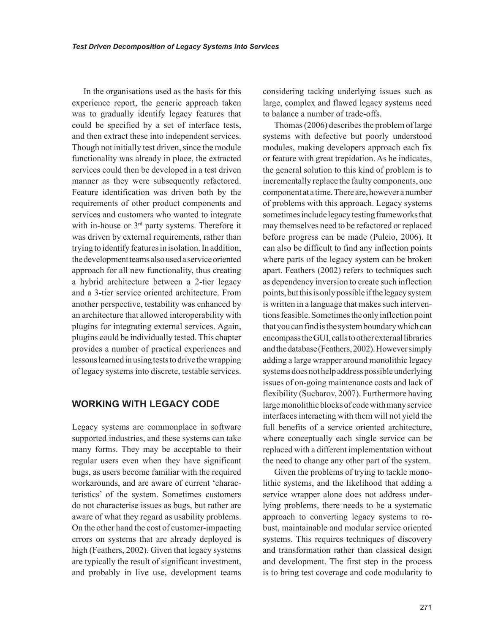In the organisations used as the basis for this experience report, the generic approach taken was to gradually identify legacy features that could be specified by a set of interface tests, and then extract these into independent services. Though not initially test driven, since the module functionality was already in place, the extracted services could then be developed in a test driven manner as they were subsequently refactored. Feature identification was driven both by the requirements of other product components and services and customers who wanted to integrate with in-house or 3<sup>rd</sup> party systems. Therefore it was driven by external requirements, rather than trying to identify features in isolation. In addition, the development teams also used a service oriented approach for all new functionality, thus creating a hybrid architecture between a 2-tier legacy and a 3-tier service oriented architecture. From another perspective, testability was enhanced by an architecture that allowed interoperability with plugins for integrating external services. Again, plugins could be individually tested. This chapter provides a number of practical experiences and lessons learned in using tests to drive the wrapping of legacy systems into discrete, testable services.

#### **WORKING WITH LEGACY CODE**

Legacy systems are commonplace in software supported industries, and these systems can take many forms. They may be acceptable to their regular users even when they have significant bugs, as users become familiar with the required workarounds, and are aware of current 'characteristics' of the system. Sometimes customers do not characterise issues as bugs, but rather are aware of what they regard as usability problems. On the other hand the cost of customer-impacting errors on systems that are already deployed is high (Feathers, 2002). Given that legacy systems are typically the result of significant investment, and probably in live use, development teams

considering tacking underlying issues such as large, complex and flawed legacy systems need to balance a number of trade-offs.

Thomas (2006) describes the problem of large systems with defective but poorly understood modules, making developers approach each fix or feature with great trepidation. As he indicates, the general solution to this kind of problem is to incrementally replace the faulty components, one component at a time. There are, however a number of problems with this approach. Legacy systems sometimes include legacy testing frameworks that may themselves need to be refactored or replaced before progress can be made (Puleio, 2006). It can also be difficult to find any inflection points where parts of the legacy system can be broken apart. Feathers (2002) refers to techniques such as dependency inversion to create such inflection points, but this is only possible if the legacy system is written in a language that makes such interventions feasible. Sometimes the only inflection point that you can find is the system boundary which can encompass the GUI, calls to other external libraries and the database (Feathers, 2002). However simply adding a large wrapper around monolithic legacy systems does not help address possible underlying issues of on-going maintenance costs and lack of flexibility (Sucharov, 2007). Furthermore having large monolithic blocks of code with many service interfaces interacting with them will not yield the full benefits of a service oriented architecture, where conceptually each single service can be replaced with a different implementation without the need to change any other part of the system.

Given the problems of trying to tackle monolithic systems, and the likelihood that adding a service wrapper alone does not address underlying problems, there needs to be a systematic approach to converting legacy systems to robust, maintainable and modular service oriented systems. This requires techniques of discovery and transformation rather than classical design and development. The first step in the process is to bring test coverage and code modularity to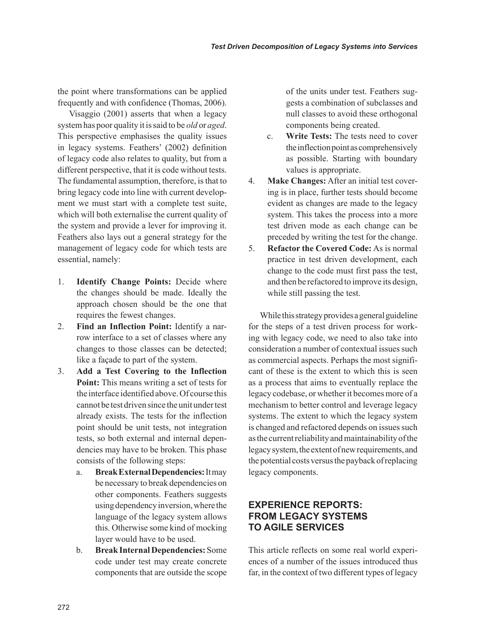the point where transformations can be applied frequently and with confidence (Thomas, 2006).

Visaggio (2001) asserts that when a legacy system has poor quality it is said to be *old* or *aged*. This perspective emphasises the quality issues in legacy systems. Feathers' (2002) definition of legacy code also relates to quality, but from a different perspective, that it is code without tests. The fundamental assumption, therefore, is that to bring legacy code into line with current development we must start with a complete test suite, which will both externalise the current quality of the system and provide a lever for improving it. Feathers also lays out a general strategy for the management of legacy code for which tests are essential, namely:

- 1. **Identify Change Points:** Decide where the changes should be made. Ideally the approach chosen should be the one that requires the fewest changes.
- 2. **Find an Inflection Point:** Identify a narrow interface to a set of classes where any changes to those classes can be detected; like a façade to part of the system.
- 3. **Add a Test Covering to the Inflection Point:** This means writing a set of tests for the interface identified above. Of course this cannot be test driven since the unit under test already exists. The tests for the inflection point should be unit tests, not integration tests, so both external and internal dependencies may have to be broken. This phase consists of the following steps:
	- a. **Break External Dependencies:** It may be necessary to break dependencies on other components. Feathers suggests using dependency inversion, where the language of the legacy system allows this. Otherwise some kind of mocking layer would have to be used.
	- b. **Break Internal Dependencies:** Some code under test may create concrete components that are outside the scope

of the units under test. Feathers suggests a combination of subclasses and null classes to avoid these orthogonal components being created.

- c. **Write Tests:** The tests need to cover the inflection point as comprehensively as possible. Starting with boundary values is appropriate.
- 4. **Make Changes:** After an initial test covering is in place, further tests should become evident as changes are made to the legacy system. This takes the process into a more test driven mode as each change can be preceded by writing the test for the change.
- 5. **Refactor the Covered Code:** As is normal practice in test driven development, each change to the code must first pass the test, and then be refactored to improve its design, while still passing the test.

While this strategy provides a general guideline for the steps of a test driven process for working with legacy code, we need to also take into consideration a number of contextual issues such as commercial aspects. Perhaps the most significant of these is the extent to which this is seen as a process that aims to eventually replace the legacy codebase, or whether it becomes more of a mechanism to better control and leverage legacy systems. The extent to which the legacy system is changed and refactored depends on issues such as the current reliability and maintainability of the legacy system, the extent of new requirements, and the potential costs versus the payback of replacing legacy components.

### **EXPERIENCE REPORTS: FROM LEGACY SYSTEMS TO AGILE SERVICES**

This article reflects on some real world experiences of a number of the issues introduced thus far, in the context of two different types of legacy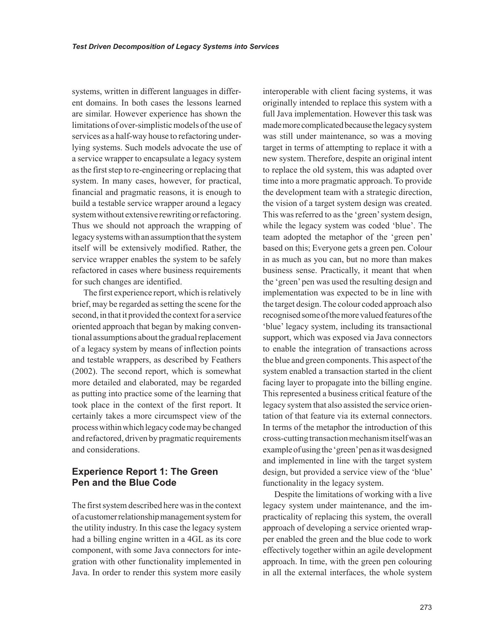systems, written in different languages in different domains. In both cases the lessons learned are similar. However experience has shown the limitations of over-simplistic models of the use of services as a half-way house to refactoring underlying systems. Such models advocate the use of a service wrapper to encapsulate a legacy system as the first step to re-engineering or replacing that system. In many cases, however, for practical, financial and pragmatic reasons, it is enough to build a testable service wrapper around a legacy system without extensive rewriting or refactoring. Thus we should not approach the wrapping of legacy systems with an assumption that the system itself will be extensively modified. Rather, the service wrapper enables the system to be safely refactored in cases where business requirements for such changes are identified.

The first experience report, which is relatively brief, may be regarded as setting the scene for the second, in that it provided the context for a service oriented approach that began by making conventional assumptions about the gradual replacement of a legacy system by means of inflection points and testable wrappers, as described by Feathers (2002). The second report, which is somewhat more detailed and elaborated, may be regarded as putting into practice some of the learning that took place in the context of the first report. It certainly takes a more circumspect view of the process within which legacy code may be changed and refactored, driven by pragmatic requirements and considerations.

### **Experience Report 1: The Green Pen and the Blue Code**

The first system described here was in the context of a customer relationship management system for the utility industry. In this case the legacy system had a billing engine written in a 4GL as its core component, with some Java connectors for integration with other functionality implemented in Java. In order to render this system more easily

interoperable with client facing systems, it was originally intended to replace this system with a full Java implementation. However this task was made more complicated because the legacy system was still under maintenance, so was a moving target in terms of attempting to replace it with a new system. Therefore, despite an original intent to replace the old system, this was adapted over time into a more pragmatic approach. To provide the development team with a strategic direction, the vision of a target system design was created. This was referred to as the 'green' system design, while the legacy system was coded 'blue'. The team adopted the metaphor of the 'green pen' based on this; Everyone gets a green pen. Colour in as much as you can, but no more than makes business sense. Practically, it meant that when the 'green' pen was used the resulting design and implementation was expected to be in line with the target design. The colour coded approach also recognised some of the more valued features of the 'blue' legacy system, including its transactional support, which was exposed via Java connectors to enable the integration of transactions across the blue and green components. This aspect of the system enabled a transaction started in the client facing layer to propagate into the billing engine. This represented a business critical feature of the legacy system that also assisted the service orientation of that feature via its external connectors. In terms of the metaphor the introduction of this cross-cutting transaction mechanism itself was an example of using the 'green' pen as it was designed and implemented in line with the target system design, but provided a service view of the 'blue' functionality in the legacy system.

Despite the limitations of working with a live legacy system under maintenance, and the impracticality of replacing this system, the overall approach of developing a service oriented wrapper enabled the green and the blue code to work effectively together within an agile development approach. In time, with the green pen colouring in all the external interfaces, the whole system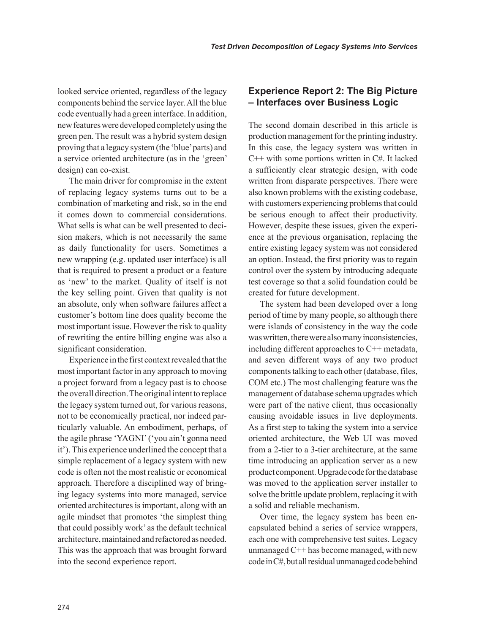looked service oriented, regardless of the legacy components behind the service layer. All the blue code eventually had a green interface. In addition, new features were developed completely using the green pen. The result was a hybrid system design proving that a legacy system (the 'blue' parts) and a service oriented architecture (as in the 'green' design) can co-exist.

The main driver for compromise in the extent of replacing legacy systems turns out to be a combination of marketing and risk, so in the end it comes down to commercial considerations. What sells is what can be well presented to decision makers, which is not necessarily the same as daily functionality for users. Sometimes a new wrapping (e.g. updated user interface) is all that is required to present a product or a feature as 'new' to the market. Quality of itself is not the key selling point. Given that quality is not an absolute, only when software failures affect a customer's bottom line does quality become the most important issue. However the risk to quality of rewriting the entire billing engine was also a significant consideration.

Experience in the first context revealed that the most important factor in any approach to moving a project forward from a legacy past is to choose the overall direction. The original intent to replace the legacy system turned out, for various reasons, not to be economically practical, nor indeed particularly valuable. An embodiment, perhaps, of the agile phrase 'YAGNI' ('you ain't gonna need it'). This experience underlined the concept that a simple replacement of a legacy system with new code is often not the most realistic or economical approach. Therefore a disciplined way of bringing legacy systems into more managed, service oriented architectures is important, along with an agile mindset that promotes 'the simplest thing that could possibly work' as the default technical architecture, maintained and refactored as needed. This was the approach that was brought forward into the second experience report.

#### **Experience Report 2: The Big Picture – Interfaces over Business Logic**

The second domain described in this article is production management for the printing industry. In this case, the legacy system was written in C++ with some portions written in C#. It lacked a sufficiently clear strategic design, with code written from disparate perspectives. There were also known problems with the existing codebase, with customers experiencing problems that could be serious enough to affect their productivity. However, despite these issues, given the experience at the previous organisation, replacing the entire existing legacy system was not considered an option. Instead, the first priority was to regain control over the system by introducing adequate test coverage so that a solid foundation could be created for future development.

The system had been developed over a long period of time by many people, so although there were islands of consistency in the way the code was written, there were also many inconsistencies, including different approaches to C++ metadata, and seven different ways of any two product components talking to each other (database, files, COM etc.) The most challenging feature was the management of database schema upgrades which were part of the native client, thus occasionally causing avoidable issues in live deployments. As a first step to taking the system into a service oriented architecture, the Web UI was moved from a 2-tier to a 3-tier architecture, at the same time introducing an application server as a new product component. Upgrade code for the database was moved to the application server installer to solve the brittle update problem, replacing it with a solid and reliable mechanism.

Over time, the legacy system has been encapsulated behind a series of service wrappers, each one with comprehensive test suites. Legacy unmanaged  $C++$  has become managed, with new code in C#, but all residual unmanaged code behind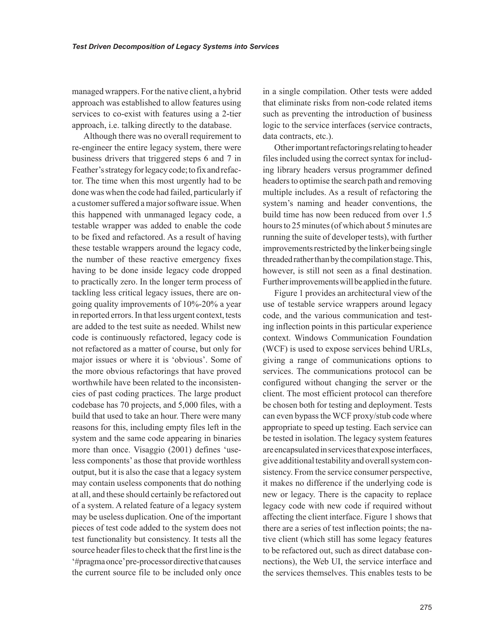managed wrappers. For the native client, a hybrid approach was established to allow features using services to co-exist with features using a 2-tier approach, i.e. talking directly to the database.

Although there was no overall requirement to re-engineer the entire legacy system, there were business drivers that triggered steps 6 and 7 in Feather's strategy for legacy code; to fix and refactor. The time when this most urgently had to be done was when the code had failed, particularly if a customer suffered a major software issue. When this happened with unmanaged legacy code, a testable wrapper was added to enable the code to be fixed and refactored. As a result of having these testable wrappers around the legacy code, the number of these reactive emergency fixes having to be done inside legacy code dropped to practically zero. In the longer term process of tackling less critical legacy issues, there are ongoing quality improvements of 10%-20% a year in reported errors. In that less urgent context, tests are added to the test suite as needed. Whilst new code is continuously refactored, legacy code is not refactored as a matter of course, but only for major issues or where it is 'obvious'. Some of the more obvious refactorings that have proved worthwhile have been related to the inconsistencies of past coding practices. The large product codebase has 70 projects, and 5,000 files, with a build that used to take an hour. There were many reasons for this, including empty files left in the system and the same code appearing in binaries more than once. Visaggio (2001) defines 'useless components' as those that provide worthless output, but it is also the case that a legacy system may contain useless components that do nothing at all, and these should certainly be refactored out of a system. A related feature of a legacy system may be useless duplication. One of the important pieces of test code added to the system does not test functionality but consistency. It tests all the source header files to check that the first line is the '#pragma once' pre-processor directive that causes the current source file to be included only once

in a single compilation. Other tests were added that eliminate risks from non-code related items such as preventing the introduction of business logic to the service interfaces (service contracts, data contracts, etc.).

Other important refactorings relating to header files included using the correct syntax for including library headers versus programmer defined headers to optimise the search path and removing multiple includes. As a result of refactoring the system's naming and header conventions, the build time has now been reduced from over 1.5 hours to 25 minutes (of which about 5 minutes are running the suite of developer tests), with further improvements restricted by the linker being single threaded rather than by the compilation stage. This, however, is still not seen as a final destination. Further improvements will be applied in the future.

Figure 1 provides an architectural view of the use of testable service wrappers around legacy code, and the various communication and testing inflection points in this particular experience context. Windows Communication Foundation (WCF) is used to expose services behind URLs, giving a range of communications options to services. The communications protocol can be configured without changing the server or the client. The most efficient protocol can therefore be chosen both for testing and deployment. Tests can even bypass the WCF proxy/stub code where appropriate to speed up testing. Each service can be tested in isolation. The legacy system features are encapsulated in services that expose interfaces, give additional testability and overall system consistency. From the service consumer perspective, it makes no difference if the underlying code is new or legacy. There is the capacity to replace legacy code with new code if required without affecting the client interface. Figure 1 shows that there are a series of test inflection points; the native client (which still has some legacy features to be refactored out, such as direct database connections), the Web UI, the service interface and the services themselves. This enables tests to be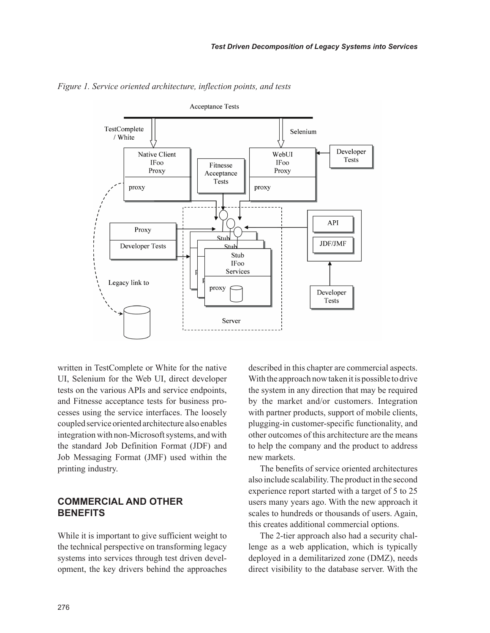

*Figure 1. Service oriented architecture, inflection points, and tests*

written in TestComplete or White for the native UI, Selenium for the Web UI, direct developer tests on the various APIs and service endpoints, and Fitnesse acceptance tests for business processes using the service interfaces. The loosely coupled service oriented architecture also enables integration with non-Microsoft systems, and with the standard Job Definition Format (JDF) and Job Messaging Format (JMF) used within the printing industry.

#### **COMMERCIAL AND OTHER BENEFITS**

While it is important to give sufficient weight to the technical perspective on transforming legacy systems into services through test driven development, the key drivers behind the approaches described in this chapter are commercial aspects. With the approach now taken it is possible to drive the system in any direction that may be required by the market and/or customers. Integration with partner products, support of mobile clients, plugging-in customer-specific functionality, and other outcomes of this architecture are the means to help the company and the product to address new markets.

The benefits of service oriented architectures also include scalability. The product in the second experience report started with a target of 5 to 25 users many years ago. With the new approach it scales to hundreds or thousands of users. Again, this creates additional commercial options.

The 2-tier approach also had a security challenge as a web application, which is typically deployed in a demilitarized zone (DMZ), needs direct visibility to the database server. With the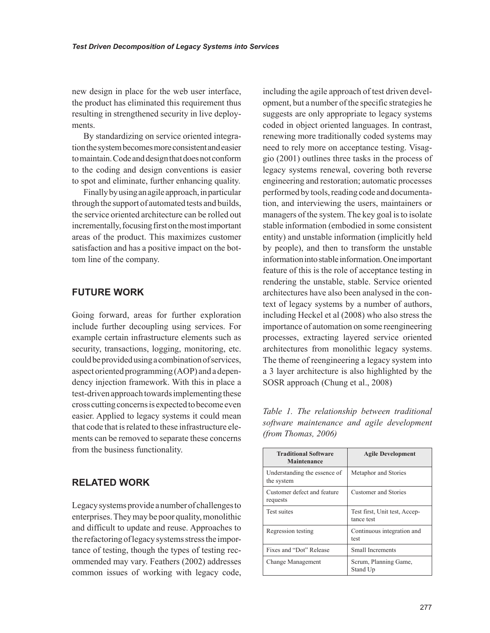new design in place for the web user interface, the product has eliminated this requirement thus resulting in strengthened security in live deployments.

By standardizing on service oriented integration the system becomes more consistent and easier to maintain. Code and design that does not conform to the coding and design conventions is easier to spot and eliminate, further enhancing quality.

Finally by using an agile approach, in particular through the support of automated tests and builds, the service oriented architecture can be rolled out incrementally, focusing first on the most important areas of the product. This maximizes customer satisfaction and has a positive impact on the bottom line of the company.

#### **FUTURE WORK**

Going forward, areas for further exploration include further decoupling using services. For example certain infrastructure elements such as security, transactions, logging, monitoring, etc. could be provided using a combination of services, aspect oriented programming (AOP) and a dependency injection framework. With this in place a test-driven approach towards implementing these cross cutting concerns is expected to become even easier. Applied to legacy systems it could mean that code that is related to these infrastructure elements can be removed to separate these concerns from the business functionality.

#### **RELATED WORK**

Legacy systems provide a number of challenges to enterprises. They may be poor quality, monolithic and difficult to update and reuse. Approaches to the refactoring of legacy systems stress the importance of testing, though the types of testing recommended may vary. Feathers (2002) addresses common issues of working with legacy code,

including the agile approach of test driven development, but a number of the specific strategies he suggests are only appropriate to legacy systems coded in object oriented languages. In contrast, renewing more traditionally coded systems may need to rely more on acceptance testing. Visaggio (2001) outlines three tasks in the process of legacy systems renewal, covering both reverse engineering and restoration; automatic processes performed by tools, reading code and documentation, and interviewing the users, maintainers or managers of the system. The key goal is to isolate stable information (embodied in some consistent entity) and unstable information (implicitly held by people), and then to transform the unstable information into stable information. One important feature of this is the role of acceptance testing in rendering the unstable, stable. Service oriented architectures have also been analysed in the context of legacy systems by a number of authors, including Heckel et al (2008) who also stress the importance of automation on some reengineering processes, extracting layered service oriented architectures from monolithic legacy systems. The theme of reengineering a legacy system into a 3 layer architecture is also highlighted by the SOSR approach (Chung et al., 2008)

*Table 1. The relationship between traditional software maintenance and agile development (from Thomas, 2006)* 

| <b>Traditional Software</b><br>Maintenance | <b>Agile Development</b>                    |
|--------------------------------------------|---------------------------------------------|
| Understanding the essence of<br>the system | Metaphor and Stories                        |
| Customer defect and feature<br>requests    | Customer and Stories                        |
| <b>Test suites</b>                         | Test first, Unit test, Accep-<br>tance test |
| Regression testing                         | Continuous integration and<br>test          |
| Fixes and "Dot" Release                    | <b>Small Increments</b>                     |
| Change Management                          | Scrum, Planning Game,<br>Stand Up           |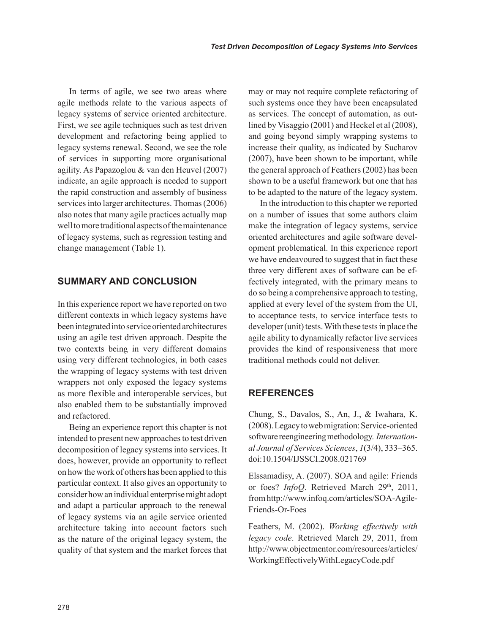In terms of agile, we see two areas where agile methods relate to the various aspects of legacy systems of service oriented architecture. First, we see agile techniques such as test driven development and refactoring being applied to legacy systems renewal. Second, we see the role of services in supporting more organisational agility. As Papazoglou & van den Heuvel (2007) indicate, an agile approach is needed to support the rapid construction and assembly of business services into larger architectures. Thomas (2006) also notes that many agile practices actually map well to more traditional aspects of the maintenance of legacy systems, such as regression testing and change management (Table 1).

#### **SUMMARY AND CONCLUSION**

In this experience report we have reported on two different contexts in which legacy systems have been integrated into service oriented architectures using an agile test driven approach. Despite the two contexts being in very different domains using very different technologies, in both cases the wrapping of legacy systems with test driven wrappers not only exposed the legacy systems as more flexible and interoperable services, but also enabled them to be substantially improved and refactored.

Being an experience report this chapter is not intended to present new approaches to test driven decomposition of legacy systems into services. It does, however, provide an opportunity to reflect on how the work of others has been applied to this particular context. It also gives an opportunity to consider how an individual enterprise might adopt and adapt a particular approach to the renewal of legacy systems via an agile service oriented architecture taking into account factors such as the nature of the original legacy system, the quality of that system and the market forces that may or may not require complete refactoring of such systems once they have been encapsulated as services. The concept of automation, as outlined by Visaggio (2001) and Heckel et al (2008), and going beyond simply wrapping systems to increase their quality, as indicated by Sucharov (2007), have been shown to be important, while the general approach of Feathers (2002) has been shown to be a useful framework but one that has to be adapted to the nature of the legacy system.

In the introduction to this chapter we reported on a number of issues that some authors claim make the integration of legacy systems, service oriented architectures and agile software development problematical. In this experience report we have endeavoured to suggest that in fact these three very different axes of software can be effectively integrated, with the primary means to do so being a comprehensive approach to testing, applied at every level of the system from the UI, to acceptance tests, to service interface tests to developer (unit) tests. With these tests in place the agile ability to dynamically refactor live services provides the kind of responsiveness that more traditional methods could not deliver.

#### **REFERENCES**

Chung, S., Davalos, S., An, J., & Iwahara, K. (2008). Legacy to web migration: Service-oriented software reengineering methodology. *International Journal of Services Sciences*, *1*(3/4), 333–365. doi:10.1504/IJSSCI.2008.021769

Elssamadisy, A. (2007). SOA and agile: Friends or foes? *InfoQ.* Retrieved March 29<sup>th</sup>, 2011, from http://www.infoq.com/articles/SOA-Agile-Friends-Or-Foes

Feathers, M. (2002). *Working effectively with legacy code*. Retrieved March 29, 2011, from http://www.objectmentor.com/resources/articles/ WorkingEffectivelyWithLegacyCode.pdf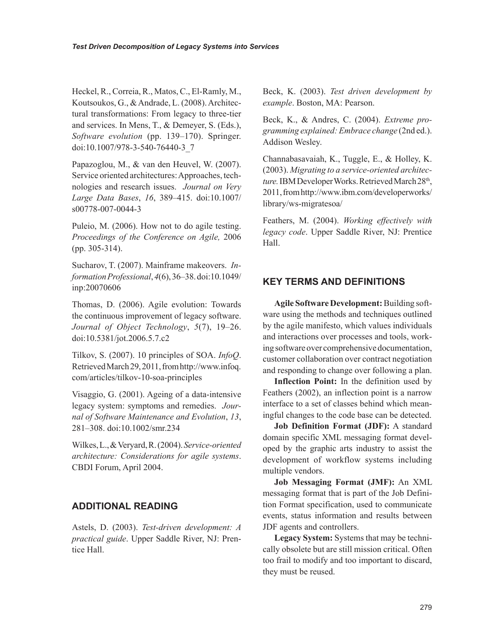Heckel, R., Correia, R., Matos, C., El-Ramly, M., Koutsoukos, G., & Andrade, L. (2008). Architectural transformations: From legacy to three-tier and services. In Mens, T., & Demeyer, S. (Eds.), *Software evolution* (pp. 139–170). Springer. doi:10.1007/978-3-540-76440-3\_7

Papazoglou, M., & van den Heuvel, W. (2007). Service oriented architectures: Approaches, technologies and research issues. *Journal on Very Large Data Bases*, *16*, 389–415. doi:10.1007/ s00778-007-0044-3

Puleio, M. (2006). How not to do agile testing. *Proceedings of the Conference on Agile,* 2006 (pp. 305-314).

Sucharov, T. (2007). Mainframe makeovers. *Information Professional*, *4*(6), 36–38. doi:10.1049/ inp:20070606

Thomas, D. (2006). Agile evolution: Towards the continuous improvement of legacy software. *Journal of Object Technology*, *5*(7), 19–26. doi:10.5381/jot.2006.5.7.c2

Tilkov, S. (2007). 10 principles of SOA. *InfoQ*. Retrieved March 29, 2011, from http://www.infoq. com/articles/tilkov-10-soa-principles

Visaggio, G. (2001). Ageing of a data-intensive legacy system: symptoms and remedies. *Journal of Software Maintenance and Evolution*, *13*, 281–308. doi:10.1002/smr.234

Wilkes, L., & Veryard, R. (2004). *Service-oriented architecture: Considerations for agile systems*. CBDI Forum, April 2004.

### **ADDITIONAL READING**

Astels, D. (2003). *Test-driven development: A practical guide*. Upper Saddle River, NJ: Prentice Hall.

Beck, K. (2003). *Test driven development by example*. Boston, MA: Pearson.

Beck, K., & Andres, C. (2004). *Extreme programming explained: Embrace change* (2nd ed.). Addison Wesley.

Channabasavaiah, K., Tuggle, E., & Holley, K. (2003). *Migrating to a service-oriented architec*ture. IBM Developer Works. Retrieved March 28<sup>th</sup>, 2011, from http://www.ibm.com/developerworks/ library/ws-migratesoa/

Feathers, M. (2004). *Working effectively with legacy code*. Upper Saddle River, NJ: Prentice Hall.

### **KEY TERMS AND DEFINITIONS**

**Agile Software Development:** Building software using the methods and techniques outlined by the agile manifesto, which values individuals and interactions over processes and tools, working software over comprehensive documentation, customer collaboration over contract negotiation and responding to change over following a plan.

**Inflection Point:** In the definition used by Feathers (2002), an inflection point is a narrow interface to a set of classes behind which meaningful changes to the code base can be detected.

**Job Definition Format (JDF):** A standard domain specific XML messaging format developed by the graphic arts industry to assist the development of workflow systems including multiple vendors.

**Job Messaging Format (JMF):** An XML messaging format that is part of the Job Definition Format specification, used to communicate events, status information and results between JDF agents and controllers.

**Legacy System:** Systems that may be technically obsolete but are still mission critical. Often too frail to modify and too important to discard, they must be reused.